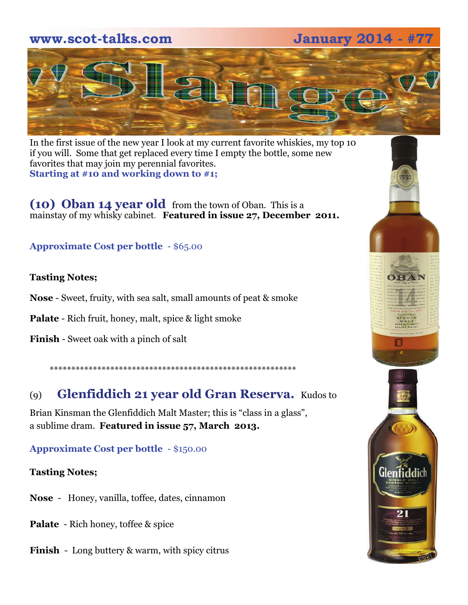# **www.scot-talks.com January 2014 - #**



In the first issue of the new year I look at my current favorite whiskies, my top 10 if you will. Some that get replaced every time I empty the bottle, some new favorites that may join my perennial favorites. **Starting at #10 and working down to #1;** 

**(10) Oban 14 year old** from the town of Oban. This is a mainstay of my whisky cabinet. **Featured in issue 27, December 2011.** 

# **Approximate Cost per bottle** - \$65.00

# **Tasting Notes;**

**Nose** - Sweet, fruity, with sea salt, small amounts of peat & smoke

**Palate** - Rich fruit, honey, malt, spice & light smoke

**Finish** - Sweet oak with a pinch of salt

\*\*\*\*\*\*\*\*\*\*\*\*\*\*\*\*\*\*\*\*\*\*\*\*\*\*\*\*\*\*\*\*\*\*\*\*\*\*\*\*\*\*\*\*\*\*\*\*\*\*\*\*\*\*\*\*\*

# (9) **Glenfiddich 21 year old Gran Reserva.** Kudos to

Brian Kinsman the Glenfiddich Malt Master; this is "class in a glass", a sublime dram. **Featured in issue 57, March 2013.** 

**Approximate Cost per bottle** - \$150.00

### **Tasting Notes;**

**Nose** - Honey, vanilla, toffee, dates, cinnamon

**Palate** - Rich honey, toffee & spice

**Finish** - Long buttery & warm, with spicy citrus

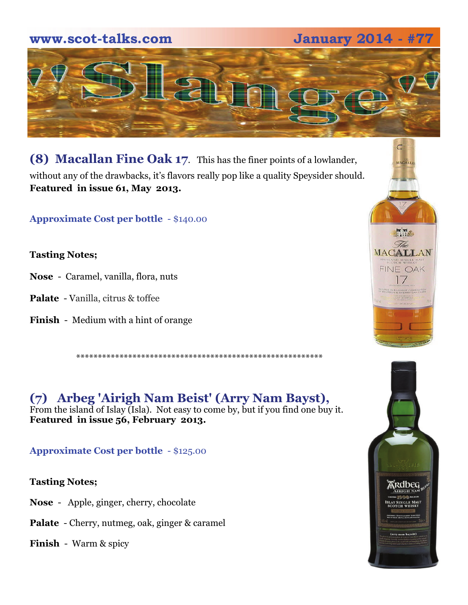# **www.scot-talks.com January 2014 - #77**



**(8) Macallan Fine Oak 17**. This has the finer points of a lowlander, without any of the drawbacks, it's flavors really pop like a quality Speysider should. **Featured in issue 61, May 2013.** 

**Approximate Cost per bottle** - \$140.00

**Tasting Notes;** 

- **Nose**  Caramel, vanilla, flora, nuts
- **Palate**  Vanilla, citrus & toffee
- **Finish**  Medium with a hint of orange

\*\*\*\*\*\*\*\*\*\*\*\*\*\*\*\*\*\*\*\*\*\*\*\*\*\*\*\*\*\*\*\*\*\*\*\*\*\*\*\*\*\*\*\*\*\*\*\*\*\*\*\*\*\*\*\*\*

**(7) Arbeg 'Airigh Nam Beist' (Arry Nam Bayst),**  From the island of Islay (Isla). Not easy to come by, but if you find one buy it. **Featured in issue 56, February 2013.** 

**Approximate Cost per bottle** - \$125.00

**Tasting Notes;** 

- **Nose**  Apple, ginger, cherry, chocolate
- **Palate**  Cherry, nutmeg, oak, ginger & caramel

**Finish** - Warm & spicy



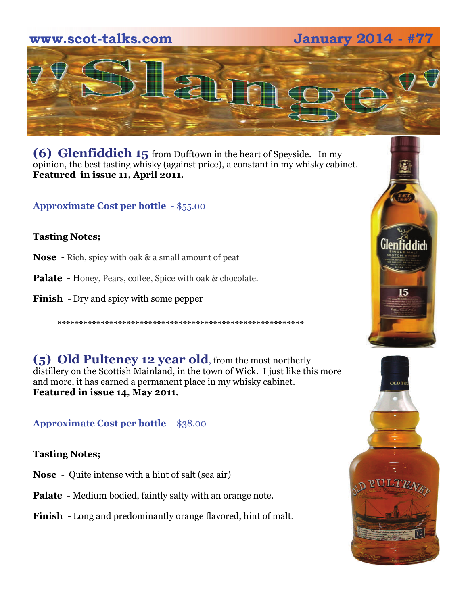



**(6) Glenfiddich 15** from Dufftown in the heart of Speyside. In my opinion, the best tasting whisky (against price), a constant in my whisky cabinet. **Featured in issue 11, April 2011.** 

**Approximate Cost per bottle** - \$55.00

## **Tasting Notes;**

- **Nose**  Rich, spicy with oak & a small amount of peat
- **Palate**  Honey, Pears, coffee, Spice with oak & chocolate.
- **Finish**  Dry and spicy with some pepper

\*\*\*\*\*\*\*\*\*\*\*\*\*\*\*\*\*\*\*\*\*\*\*\*\*\*\*\*\*\*\*\*\*\*\*\*\*\*\*\*\*\*\*\*\*\*\*\*\*\*\*\*\*\*\*\*\*

**(5) Old Pulteney 12 year old**, from the most northerly distillery on the Scottish Mainland, in the town of Wick. I just like this more and more, it has earned a permanent place in my whisky cabinet. **Featured in issue 14, May 2011.**

**Approximate Cost per bottle** - \$38.00

### **Tasting Notes;**

- **Nose**  Quite intense with a hint of salt (sea air)
- **Palate**  Medium bodied, faintly salty with an orange note.
- **Finish**  Long and predominantly orange flavored, hint of malt.



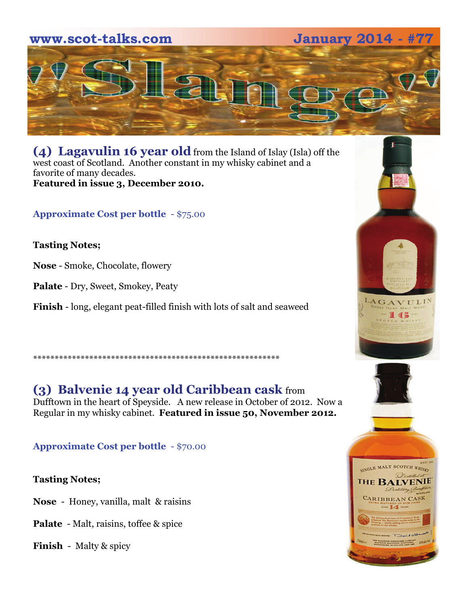



**(4) Lagavulin 16 year old** from the Island of Islay (Isla) off the west coast of Scotland. Another constant in my whisky cabinet and a favorite of many decades. **Featured in issue 3, December 2010.**

**Approximate Cost per bottle** - \$75.00

# **Tasting Notes;**

**Nose** - Smoke, Chocolate, flowery

**Palate** - Dry, Sweet, Smokey, Peaty

**Finish** - long, elegant peat-filled finish with lots of salt and seaweed

# \*\*\*\*\*\*\*\*\*\*\*\*\*\*\*\*\*\*\*\*\*\*\*\*\*\*\*\*\*\*\*\*\*\*\*\*\*\*\*\*\*\*\*\*\*\*\*\*\*\*\*\*\*\*\*\*\*

# **(3) Balvenie 14 year old Caribbean cask** from Dufftown in the heart of Speyside. A new release in October of 2012. Now a Regular in my whisky cabinet. **Featured in issue 50, November 2012.**

**Approximate Cost per bottle** - \$70.00

# **Tasting Notes;**

**Nose** - Honey, vanilla, malt & raisins

**Palate** - Malt, raisins, toffee & spice

**Finish** - Malty & spicy



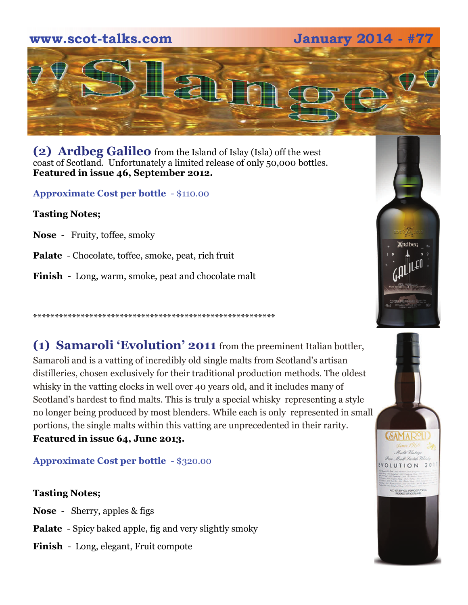# www.scot-talks.com

**January 2014 -**



**(2) Ardbeg Galileo** from the Island of Islay (Isla) off the west coast of Scotland. Unfortunately a limited release of only 50,000 bottles. **Featured in issue 46, September 2012.**

**Approximate Cost per bottle** - \$110.00

**Tasting Notes;** 

**Nose** - Fruity, toffee, smoky

**Palate** - Chocolate, toffee, smoke, peat, rich fruit

**Finish** - Long, warm, smoke, peat and chocolate malt

\*\*\*\*\*\*\*\*\*\*\*\*\*\*\*\*\*\*\*\*\*\*\*\*\*\*\*\*\*\*\*\*\*\*\*\*\*\*\*\*\*\*\*\*\*\*\*\*\*\*\*\*\*\*\*\*

**(1) Samaroli 'Evolution' 2011** from the preeminent Italian bottler, Samaroli and is a vatting of incredibly old single malts from Scotland's artisan distilleries, chosen exclusively for their traditional production methods. The oldest whisky in the vatting clocks in well over 40 years old, and it includes many of Scotland's hardest to find malts. This is truly a special whisky representing a style no longer being produced by most blenders. While each is only represented in small portions, the single malts within this vatting are unprecedented in their rarity. **Featured in issue 64, June 2013.**

**Approximate Cost per bottle** - \$320.00

# **Tasting Notes;**

**Nose** - Sherry, apples & figs

- **Palate**  Spicy baked apple, fig and very slightly smoky
- **Finish**  Long, elegant, Fruit compote



VOLUTION 20

AC 45-81VOL (RONOOF) 750 M